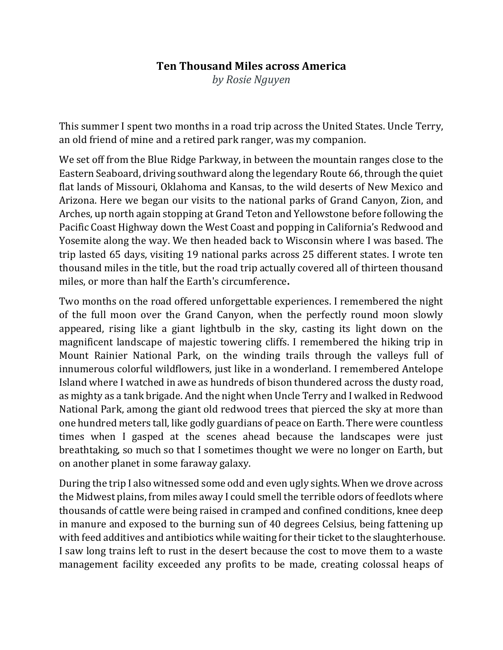## **Ten Thousand Miles across America**

*by Rosie Nguyen*

This summer I spent two months in a road trip across the United States. Uncle Terry, an old friend of mine and a retired park ranger, was my companion.

We set off from the Blue Ridge Parkway, in between the mountain ranges close to the Eastern Seaboard, driving southward along the legendary Route 66, through the quiet flat lands of Missouri, Oklahoma and Kansas, to the wild deserts of New Mexico and Arizona. Here we began our visits to the national parks of Grand Canyon, Zion, and Arches, up north again stopping at Grand Teton and Yellowstone before following the Pacific Coast Highway down the West Coast and popping in California's Redwood and Yosemite along the way. We then headed back to Wisconsin where I was based. The trip lasted 65 days, visiting 19 national parks across 25 different states. I wrote ten thousand miles in the title, but the road trip actually covered all of thirteen thousand miles, or more than half the Earth's circumference**.**

Two months on the road offered unforgettable experiences. I remembered the night of the full moon over the Grand Canyon, when the perfectly round moon slowly appeared, rising like a giant lightbulb in the sky, casting its light down on the magnificent landscape of majestic towering cliffs. I remembered the hiking trip in Mount Rainier National Park, on the winding trails through the valleys full of innumerous colorful wildflowers, just like in a wonderland. I remembered Antelope Island where I watched in awe as hundreds of bison thundered across the dusty road, as mighty as a tank brigade. And the night when Uncle Terry and I walked in Redwood National Park, among the giant old redwood trees that pierced the sky at more than one hundred meters tall, like godly guardians of peace on Earth. There were countless times when I gasped at the scenes ahead because the landscapes were just breathtaking, so much so that I sometimes thought we were no longer on Earth, but on another planet in some faraway galaxy.

During the trip I also witnessed some odd and even ugly sights. When we drove across the Midwest plains, from miles away I could smell the terrible odors of feedlots where thousands of cattle were being raised in cramped and confined conditions, knee deep in manure and exposed to the burning sun of 40 degrees Celsius, being fattening up with feed additives and antibiotics while waiting for their ticket to the slaughterhouse. I saw long trains left to rust in the desert because the cost to move them to a waste management facility exceeded any profits to be made, creating colossal heaps of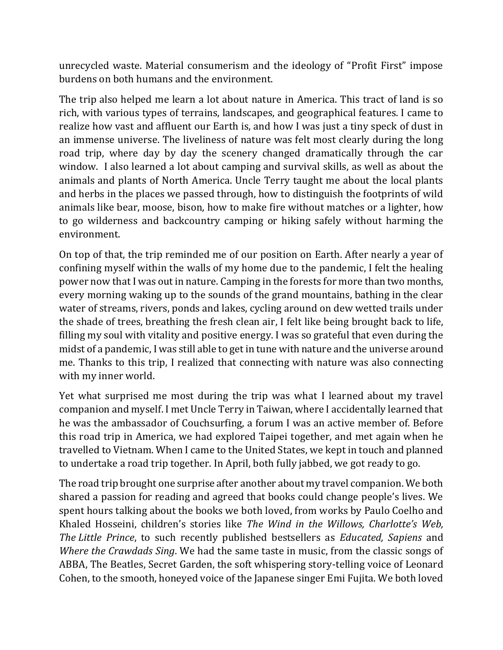unrecycled waste. Material consumerism and the ideology of "Profit First" impose burdens on both humans and the environment.

The trip also helped me learn a lot about nature in America. This tract of land is so rich, with various types of terrains, landscapes, and geographical features. I came to realize how vast and affluent our Earth is, and how I was just a tiny speck of dust in an immense universe. The liveliness of nature was felt most clearly during the long road trip, where day by day the scenery changed dramatically through the car window. I also learned a lot about camping and survival skills, as well as about the animals and plants of North America. Uncle Terry taught me about the local plants and herbs in the places we passed through, how to distinguish the footprints of wild animals like bear, moose, bison, how to make fire without matches or a lighter, how to go wilderness and backcountry camping or hiking safely without harming the environment.

On top of that, the trip reminded me of our position on Earth. After nearly a year of confining myself within the walls of my home due to the pandemic, I felt the healing power now that I was out in nature. Camping in the forests for more than two months, every morning waking up to the sounds of the grand mountains, bathing in the clear water of streams, rivers, ponds and lakes, cycling around on dew wetted trails under the shade of trees, breathing the fresh clean air, I felt like being brought back to life, filling my soul with vitality and positive energy. I was so grateful that even during the midst of a pandemic, I was still able to get in tune with nature and the universe around me. Thanks to this trip, I realized that connecting with nature was also connecting with my inner world.

Yet what surprised me most during the trip was what I learned about my travel companion and myself. I met Uncle Terry in Taiwan, where I accidentally learned that he was the ambassador of Couchsurfing, a forum I was an active member of. Before this road trip in America, we had explored Taipei together, and met again when he travelled to Vietnam. When I came to the United States, we kept in touch and planned to undertake a road trip together. In April, both fully jabbed, we got ready to go.

The road trip brought one surprise after another about my travel companion. We both shared a passion for reading and agreed that books could change people's lives. We spent hours talking about the books we both loved, from works by Paulo Coelho and Khaled Hosseini, children's stories like *The Wind in the Willows, Charlotte's Web, The Little Prince*, to such recently published bestsellers as *Educated, Sapiens* and *Where the Crawdads Sing*. We had the same taste in music, from the classic songs of ABBA, The Beatles, Secret Garden, the soft whispering story-telling voice of Leonard Cohen, to the smooth, honeyed voice of the Japanese singer Emi Fujita. We both loved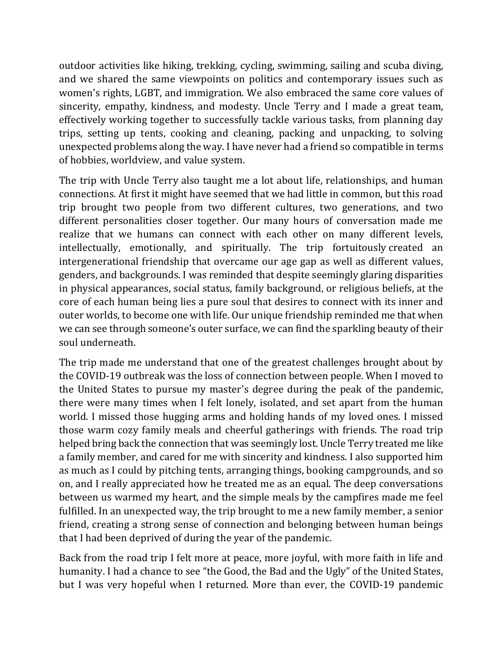outdoor activities like hiking, trekking, cycling, swimming, sailing and scuba diving, and we shared the same viewpoints on politics and contemporary issues such as women's rights, LGBT, and immigration. We also embraced the same core values of sincerity, empathy, kindness, and modesty. Uncle Terry and I made a great team, effectively working together to successfully tackle various tasks, from planning day trips, setting up tents, cooking and cleaning, packing and unpacking, to solving unexpected problems along the way. I have never had a friend so compatible in terms of hobbies, worldview, and value system.

The trip with Uncle Terry also taught me a lot about life, relationships, and human connections. At first it might have seemed that we had little in common, but this road trip brought two people from two different cultures, two generations, and two different personalities closer together. Our many hours of conversation made me realize that we humans can connect with each other on many different levels, intellectually, emotionally, and spiritually. The trip fortuitously created an intergenerational friendship that overcame our age gap as well as different values, genders, and backgrounds. I was reminded that despite seemingly glaring disparities in physical appearances, social status, family background, or religious beliefs, at the core of each human being lies a pure soul that desires to connect with its inner and outer worlds, to become one with life. Our unique friendship reminded me that when we can see through someone's outer surface, we can find the sparkling beauty of their soul underneath.

The trip made me understand that one of the greatest challenges brought about by the COVID-19 outbreak was the loss of connection between people. When I moved to the United States to pursue my master's degree during the peak of the pandemic, there were many times when I felt lonely, isolated, and set apart from the human world. I missed those hugging arms and holding hands of my loved ones. I missed those warm cozy family meals and cheerful gatherings with friends. The road trip helped bring back the connection that was seemingly lost. Uncle Terry treated me like a family member, and cared for me with sincerity and kindness. I also supported him as much as I could by pitching tents, arranging things, booking campgrounds, and so on, and I really appreciated how he treated me as an equal. The deep conversations between us warmed my heart, and the simple meals by the campfires made me feel fulfilled. In an unexpected way, the trip brought to me a new family member, a senior friend, creating a strong sense of connection and belonging between human beings that I had been deprived of during the year of the pandemic.

Back from the road trip I felt more at peace, more joyful, with more faith in life and humanity. I had a chance to see "the Good, the Bad and the Ugly" of the United States, but I was very hopeful when I returned. More than ever, the COVID-19 pandemic